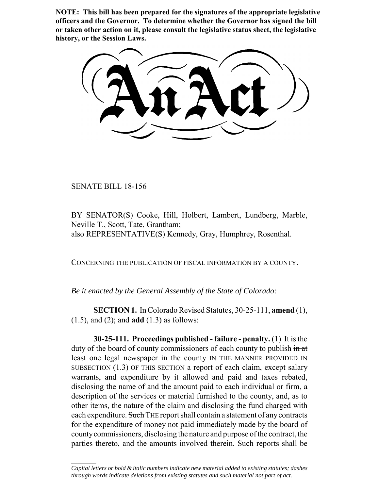**NOTE: This bill has been prepared for the signatures of the appropriate legislative officers and the Governor. To determine whether the Governor has signed the bill or taken other action on it, please consult the legislative status sheet, the legislative history, or the Session Laws.**

SENATE BILL 18-156

 $\frac{1}{2}$ 

BY SENATOR(S) Cooke, Hill, Holbert, Lambert, Lundberg, Marble, Neville T., Scott, Tate, Grantham; also REPRESENTATIVE(S) Kennedy, Gray, Humphrey, Rosenthal.

CONCERNING THE PUBLICATION OF FISCAL INFORMATION BY A COUNTY.

*Be it enacted by the General Assembly of the State of Colorado:*

**SECTION 1.** In Colorado Revised Statutes, 30-25-111, **amend** (1), (1.5), and (2); and **add** (1.3) as follows:

**30-25-111. Proceedings published - failure - penalty.** (1) It is the duty of the board of county commissioners of each county to publish  $\frac{d}{dx}$ least one legal newspaper in the county IN THE MANNER PROVIDED IN SUBSECTION (1.3) OF THIS SECTION a report of each claim, except salary warrants, and expenditure by it allowed and paid and taxes rebated, disclosing the name of and the amount paid to each individual or firm, a description of the services or material furnished to the county, and, as to other items, the nature of the claim and disclosing the fund charged with each expenditure. Such THE report shall contain a statement of any contracts for the expenditure of money not paid immediately made by the board of county commissioners, disclosing the nature and purpose of the contract, the parties thereto, and the amounts involved therein. Such reports shall be

*Capital letters or bold & italic numbers indicate new material added to existing statutes; dashes through words indicate deletions from existing statutes and such material not part of act.*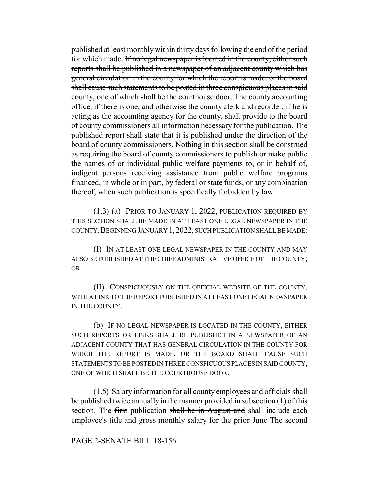published at least monthly within thirty days following the end of the period for which made. If no legal newspaper is located in the county, either such reports shall be published in a newspaper of an adjacent county which has general circulation in the county for which the report is made, or the board shall cause such statements to be posted in three conspicuous places in said county, one of which shall be the courthouse door. The county accounting office, if there is one, and otherwise the county clerk and recorder, if he is acting as the accounting agency for the county, shall provide to the board of county commissioners all information necessary for the publication. The published report shall state that it is published under the direction of the board of county commissioners. Nothing in this section shall be construed as requiring the board of county commissioners to publish or make public the names of or individual public welfare payments to, or in behalf of, indigent persons receiving assistance from public welfare programs financed, in whole or in part, by federal or state funds, or any combination thereof, when such publication is specifically forbidden by law.

(1.3) (a) PRIOR TO JANUARY 1, 2022, PUBLICATION REQUIRED BY THIS SECTION SHALL BE MADE IN AT LEAST ONE LEGAL NEWSPAPER IN THE COUNTY.BEGINNING JANUARY 1,2022, SUCH PUBLICATION SHALL BE MADE:

(I) IN AT LEAST ONE LEGAL NEWSPAPER IN THE COUNTY AND MAY ALSO BE PUBLISHED AT THE CHIEF ADMINISTRATIVE OFFICE OF THE COUNTY; OR

(II) CONSPICUOUSLY ON THE OFFICIAL WEBSITE OF THE COUNTY, WITH A LINK TO THE REPORT PUBLISHED IN AT LEAST ONE LEGAL NEWSPAPER IN THE COUNTY.

(b) IF NO LEGAL NEWSPAPER IS LOCATED IN THE COUNTY, EITHER SUCH REPORTS OR LINKS SHALL BE PUBLISHED IN A NEWSPAPER OF AN ADJACENT COUNTY THAT HAS GENERAL CIRCULATION IN THE COUNTY FOR WHICH THE REPORT IS MADE, OR THE BOARD SHALL CAUSE SUCH STATEMENTS TO BE POSTED IN THREE CONSPICUOUS PLACES IN SAID COUNTY, ONE OF WHICH SHALL BE THE COURTHOUSE DOOR.

(1.5) Salary information for all county employees and officials shall be published twice annually in the manner provided in subsection (1) of this section. The first publication shall be in August and shall include each employee's title and gross monthly salary for the prior June The second

## PAGE 2-SENATE BILL 18-156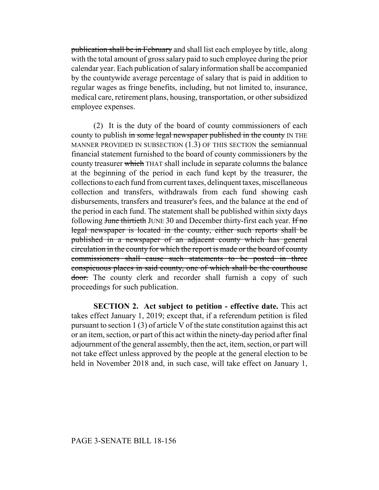publication shall be in February and shall list each employee by title, along with the total amount of gross salary paid to such employee during the prior calendar year. Each publication of salary information shall be accompanied by the countywide average percentage of salary that is paid in addition to regular wages as fringe benefits, including, but not limited to, insurance, medical care, retirement plans, housing, transportation, or other subsidized employee expenses.

(2) It is the duty of the board of county commissioners of each county to publish in some legal newspaper published in the county IN THE MANNER PROVIDED IN SUBSECTION  $(1.3)$  OF THIS SECTION the semiannual financial statement furnished to the board of county commissioners by the county treasurer which THAT shall include in separate columns the balance at the beginning of the period in each fund kept by the treasurer, the collections to each fund from current taxes, delinquent taxes, miscellaneous collection and transfers, withdrawals from each fund showing cash disbursements, transfers and treasurer's fees, and the balance at the end of the period in each fund. The statement shall be published within sixty days following June thirtieth JUNE 30 and December thirty-first each year. If no legal newspaper is located in the county, either such reports shall be published in a newspaper of an adjacent county which has general circulation in the county for which the report is made or the board of county commissioners shall cause such statements to be posted in three conspicuous places in said county, one of which shall be the courthouse door. The county clerk and recorder shall furnish a copy of such proceedings for such publication.

**SECTION 2. Act subject to petition - effective date.** This act takes effect January 1, 2019; except that, if a referendum petition is filed pursuant to section 1 (3) of article V of the state constitution against this act or an item, section, or part of this act within the ninety-day period after final adjournment of the general assembly, then the act, item, section, or part will not take effect unless approved by the people at the general election to be held in November 2018 and, in such case, will take effect on January 1,